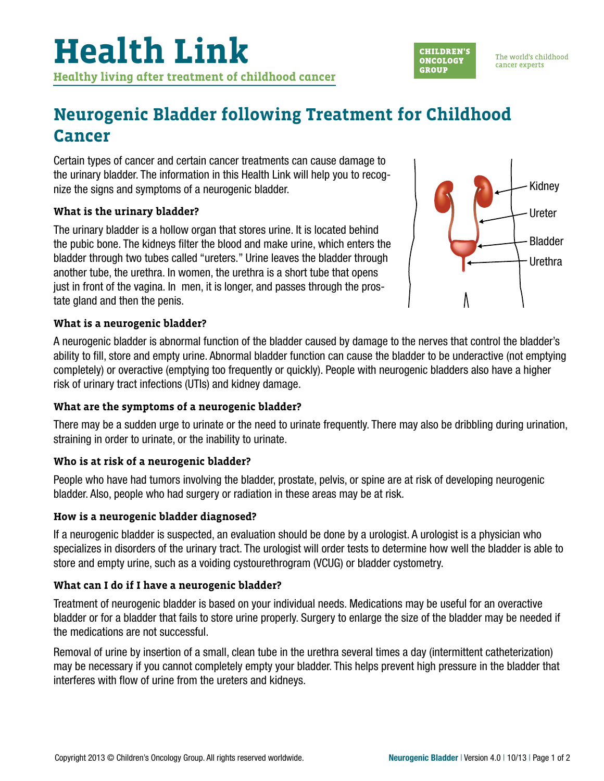

The world's childhood cancer experts

## **Neurogenic Bladder following Treatment for Childhood Cancer**

Certain types of cancer and certain cancer treatments can cause damage to the urinary bladder. The information in this Health Link will help you to recognize the signs and symptoms of a neurogenic bladder.

#### **What is the urinary bladder?**

The urinary bladder is a hollow organ that stores urine. It is located behind the pubic bone. The kidneys filter the blood and make urine, which enters the bladder through two tubes called "ureters." Urine leaves the bladder through another tube, the urethra. In women, the urethra is a short tube that opens just in front of the vagina. In men, it is longer, and passes through the prostate gland and then the penis.



#### **What is a neurogenic bladder?**

A neurogenic bladder is abnormal function of the bladder caused by damage to the nerves that control the bladder's ability to fill, store and empty urine. Abnormal bladder function can cause the bladder to be underactive (not emptying completely) or overactive (emptying too frequently or quickly). People with neurogenic bladders also have a higher risk of urinary tract infections (UTIs) and kidney damage.

#### **What are the symptoms of a neurogenic bladder?**

There may be a sudden urge to urinate or the need to urinate frequently. There may also be dribbling during urination, straining in order to urinate, or the inability to urinate.

### **Who is at risk of a neurogenic bladder?**

People who have had tumors involving the bladder, prostate, pelvis, or spine are at risk of developing neurogenic bladder. Also, people who had surgery or radiation in these areas may be at risk.

#### **How is a neurogenic bladder diagnosed?**

If a neurogenic bladder is suspected, an evaluation should be done by a urologist. A urologist is a physician who specializes in disorders of the urinary tract. The urologist will order tests to determine how well the bladder is able to store and empty urine, such as a voiding cystourethrogram (VCUG) or bladder cystometry.

### **What can I do if I have a neurogenic bladder?**

Treatment of neurogenic bladder is based on your individual needs. Medications may be useful for an overactive bladder or for a bladder that fails to store urine properly. Surgery to enlarge the size of the bladder may be needed if the medications are not successful.

Removal of urine by insertion of a small, clean tube in the urethra several times a day (intermittent catheterization) may be necessary if you cannot completely empty your bladder. This helps prevent high pressure in the bladder that interferes with flow of urine from the ureters and kidneys.